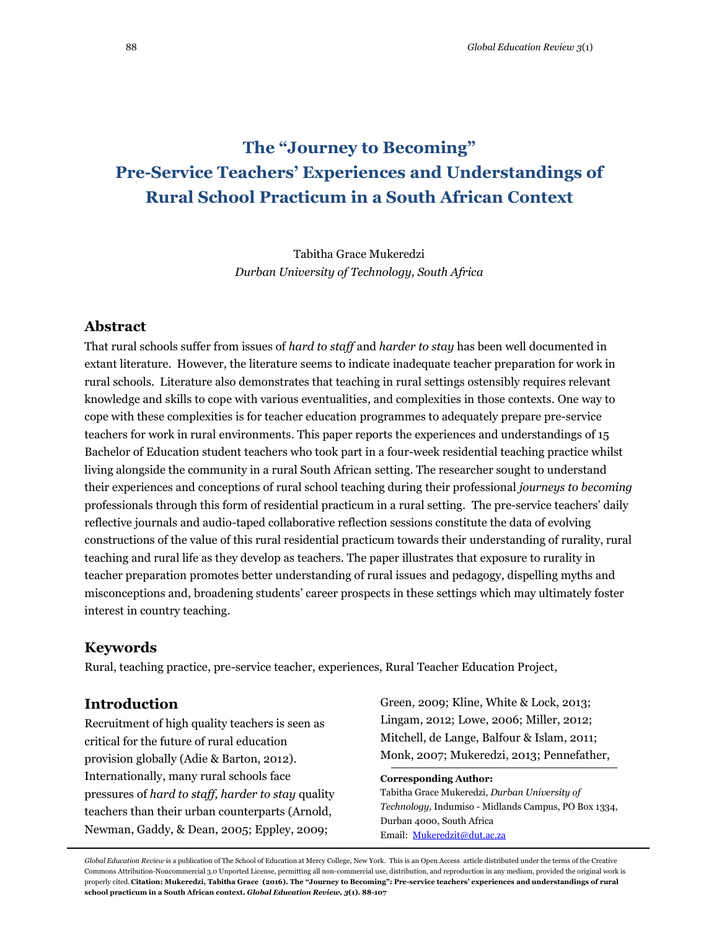# **The "Journey to Becoming" Pre-Service Teachers' Experiences and Understandings of Rural School Practicum in a South African Context**

Tabitha Grace Mukeredzi *Durban University of Technology, South Africa*

## **Abstract**

That rural schools suffer from issues of *hard to staff* and *harder to stay* has been well documented in extant literature. However, the literature seems to indicate inadequate teacher preparation for work in rural schools. Literature also demonstrates that teaching in rural settings ostensibly requires relevant knowledge and skills to cope with various eventualities, and complexities in those contexts. One way to cope with these complexities is for teacher education programmes to adequately prepare pre-service teachers for work in rural environments. This paper reports the experiences and understandings of 15 Bachelor of Education student teachers who took part in a four-week residential teaching practice whilst living alongside the community in a rural South African setting. The researcher sought to understand their experiences and conceptions of rural school teaching during their professional *journeys to becoming* professionals through this form of residential practicum in a rural setting. The pre-service teachers' daily reflective journals and audio-taped collaborative reflection sessions constitute the data of evolving constructions of the value of this rural residential practicum towards their understanding of rurality, rural teaching and rural life as they develop as teachers. The paper illustrates that exposure to rurality in teacher preparation promotes better understanding of rural issues and pedagogy, dispelling myths and misconceptions and, broadening students' career prospects in these settings which may ultimately foster interest in country teaching.

## **Keywords**

Rural, teaching practice, pre-service teacher, experiences, Rural Teacher Education Project,

## **Introduction**

Recruitment of high quality teachers is seen as critical for the future of rural education provision globally (Adie & Barton, 2012). Internationally, many rural schools face pressures of *hard to staff, harder to stay* quality teachers than their urban counterparts (Arnold, Newman, Gaddy, & Dean, 2005; Eppley, 2009;

Green, 2009; Kline, White & Lock, 2013; Lingam, 2012; Lowe, 2006; Miller, 2012; Mitchell, de Lange, Balfour & Islam, 2011; Monk, 2007; Mukeredzi, 2013; Pennefather,

#### **Corresponding Author:**

Tabitha Grace Mukeredzi, *Durban University of Technology,* Indumiso *-* Midlands Campus, PO Box 1334, Durban 4000, South Africa Email: [Mukeredzit@dut.ac.za](mailto:Mukeredzit@dut.ac.za)

*Global Education Review* is a publication of The School of Education at Mercy College, New York. This is an Open Access article distributed under the terms of the Creative Commons Attribution-Noncommercial 3.0 Unported License, permitting all non-commercial use, distribution, and reproduction in any medium, provided the original work is properly cited. **Citation: Mukeredzi, Tabitha Grace (2016). The "Journey to Becoming": Pre-service teachers' experiences and understandings of rural school practicum in a South African context.** *Global Education Review, 3***(1). 88-107**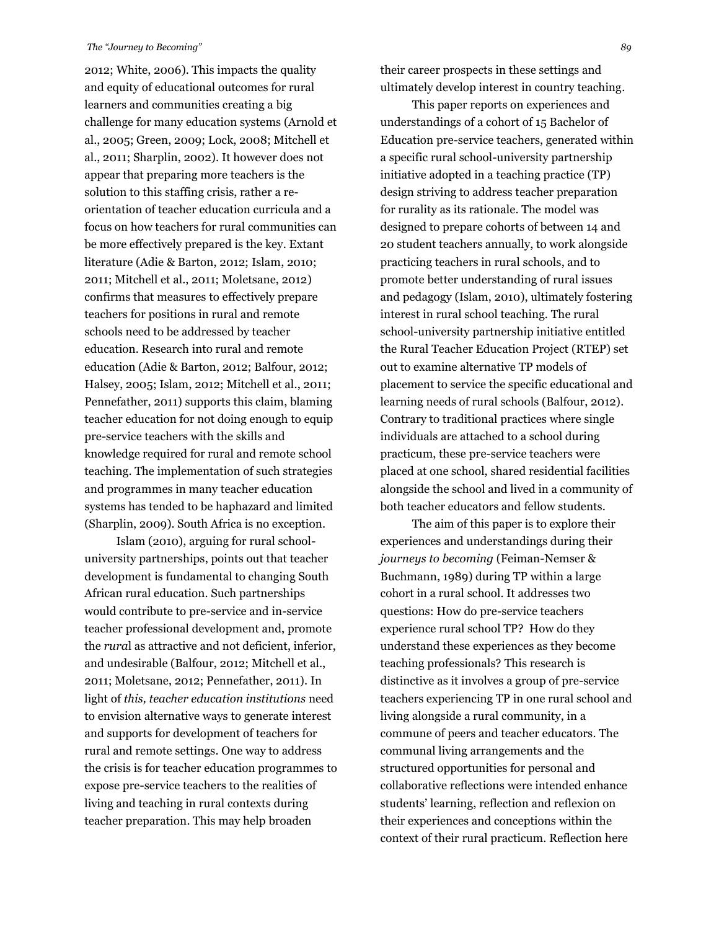2012; White, 2006). This impacts the quality and equity of educational outcomes for rural learners and communities creating a big challenge for many education systems (Arnold et al., 2005; Green, 2009; Lock, 2008; Mitchell et al., 2011; Sharplin, 2002). It however does not appear that preparing more teachers is the solution to this staffing crisis, rather a reorientation of teacher education curricula and a focus on how teachers for rural communities can be more effectively prepared is the key. Extant literature (Adie & Barton, 2012; Islam, 2010; 2011; Mitchell et al., 2011; Moletsane, 2012) confirms that measures to effectively prepare teachers for positions in rural and remote schools need to be addressed by teacher education. Research into rural and remote education (Adie & Barton, 2012; Balfour, 2012; Halsey, 2005; Islam, 2012; Mitchell et al., 2011; Pennefather, 2011) supports this claim, blaming teacher education for not doing enough to equip pre-service teachers with the skills and knowledge required for rural and remote school teaching. The implementation of such strategies and programmes in many teacher education systems has tended to be haphazard and limited (Sharplin, 2009). South Africa is no exception.

Islam (2010), arguing for rural schooluniversity partnerships, points out that teacher development is fundamental to changing South African rural education. Such partnerships would contribute to pre-service and in-service teacher professional development and, promote the *rura*l as attractive and not deficient, inferior, and undesirable (Balfour, 2012; Mitchell et al., 2011; Moletsane, 2012; Pennefather, 2011). In light of *this, teacher education institutions* need to envision alternative ways to generate interest and supports for development of teachers for rural and remote settings. One way to address the crisis is for teacher education programmes to expose pre-service teachers to the realities of living and teaching in rural contexts during teacher preparation. This may help broaden

their career prospects in these settings and ultimately develop interest in country teaching.

This paper reports on experiences and understandings of a cohort of 15 Bachelor of Education pre-service teachers, generated within a specific rural school-university partnership initiative adopted in a teaching practice (TP) design striving to address teacher preparation for rurality as its rationale. The model was designed to prepare cohorts of between 14 and 20 student teachers annually, to work alongside practicing teachers in rural schools, and to promote better understanding of rural issues and pedagogy (Islam, 2010), ultimately fostering interest in rural school teaching. The rural school-university partnership initiative entitled the Rural Teacher Education Project (RTEP) set out to examine alternative TP models of placement to service the specific educational and learning needs of rural schools (Balfour, 2012). Contrary to traditional practices where single individuals are attached to a school during practicum, these pre-service teachers were placed at one school, shared residential facilities alongside the school and lived in a community of both teacher educators and fellow students.

The aim of this paper is to explore their experiences and understandings during their *journeys to becoming* (Feiman-Nemser & Buchmann, 1989) during TP within a large cohort in a rural school. It addresses two questions: How do pre-service teachers experience rural school TP? How do they understand these experiences as they become teaching professionals? This research is distinctive as it involves a group of pre-service teachers experiencing TP in one rural school and living alongside a rural community, in a commune of peers and teacher educators. The communal living arrangements and the structured opportunities for personal and collaborative reflections were intended enhance students' learning, reflection and reflexion on their experiences and conceptions within the context of their rural practicum. Reflection here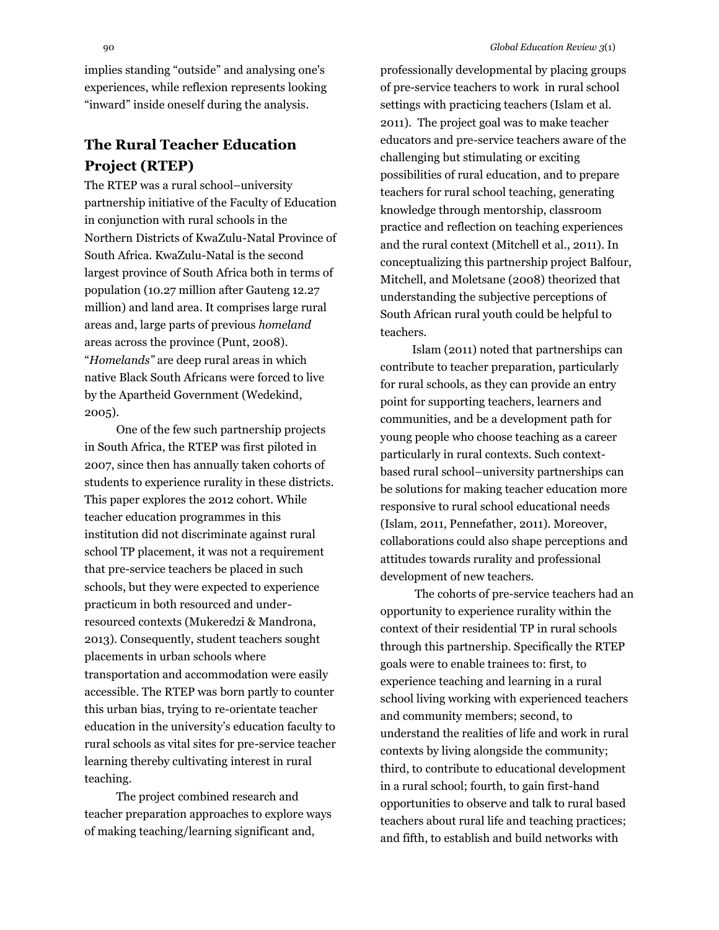implies standing "outside" and analysing one's experiences, while reflexion represents looking "inward" inside oneself during the analysis.

## **The Rural Teacher Education Project (RTEP)**

The RTEP was a rural school–university partnership initiative of the Faculty of Education in conjunction with rural schools in the Northern Districts of KwaZulu-Natal Province of South Africa. KwaZulu-Natal is the second largest province of South Africa both in terms of population (10.27 million after Gauteng 12.27 million) and land area. It comprises large rural areas and, large parts of previous *homeland* areas across the province (Punt, 2008). "*Homelands"* are deep rural areas in which native Black South Africans were forced to live by the Apartheid Government (Wedekind, 2005).

One of the few such partnership projects in South Africa, the RTEP was first piloted in 2007, since then has annually taken cohorts of students to experience rurality in these districts. This paper explores the 2012 cohort. While teacher education programmes in this institution did not discriminate against rural school TP placement, it was not a requirement that pre-service teachers be placed in such schools, but they were expected to experience practicum in both resourced and underresourced contexts (Mukeredzi & Mandrona, 2013). Consequently, student teachers sought placements in urban schools where transportation and accommodation were easily accessible. The RTEP was born partly to counter this urban bias, trying to re-orientate teacher education in the university's education faculty to rural schools as vital sites for pre-service teacher learning thereby cultivating interest in rural teaching.

The project combined research and teacher preparation approaches to explore ways of making teaching/learning significant and,

professionally developmental by placing groups of pre-service teachers to work in rural school settings with practicing teachers (Islam et al. 2011). The project goal was to make teacher educators and pre-service teachers aware of the challenging but stimulating or exciting possibilities of rural education, and to prepare teachers for rural school teaching, generating knowledge through mentorship, classroom practice and reflection on teaching experiences and the rural context (Mitchell et al., 2011). In conceptualizing this partnership project Balfour, Mitchell, and Moletsane (2008) theorized that understanding the subjective perceptions of South African rural youth could be helpful to teachers.

Islam (2011) noted that partnerships can contribute to teacher preparation, particularly for rural schools, as they can provide an entry point for supporting teachers, learners and communities, and be a development path for young people who choose teaching as a career particularly in rural contexts. Such contextbased rural school–university partnerships can be solutions for making teacher education more responsive to rural school educational needs (Islam, 2011, Pennefather, 2011). Moreover, collaborations could also shape perceptions and attitudes towards rurality and professional development of new teachers.

The cohorts of pre-service teachers had an opportunity to experience rurality within the context of their residential TP in rural schools through this partnership. Specifically the RTEP goals were to enable trainees to: first, to experience teaching and learning in a rural school living working with experienced teachers and community members; second, to understand the realities of life and work in rural contexts by living alongside the community; third, to contribute to educational development in a rural school; fourth, to gain first-hand opportunities to observe and talk to rural based teachers about rural life and teaching practices; and fifth, to establish and build networks with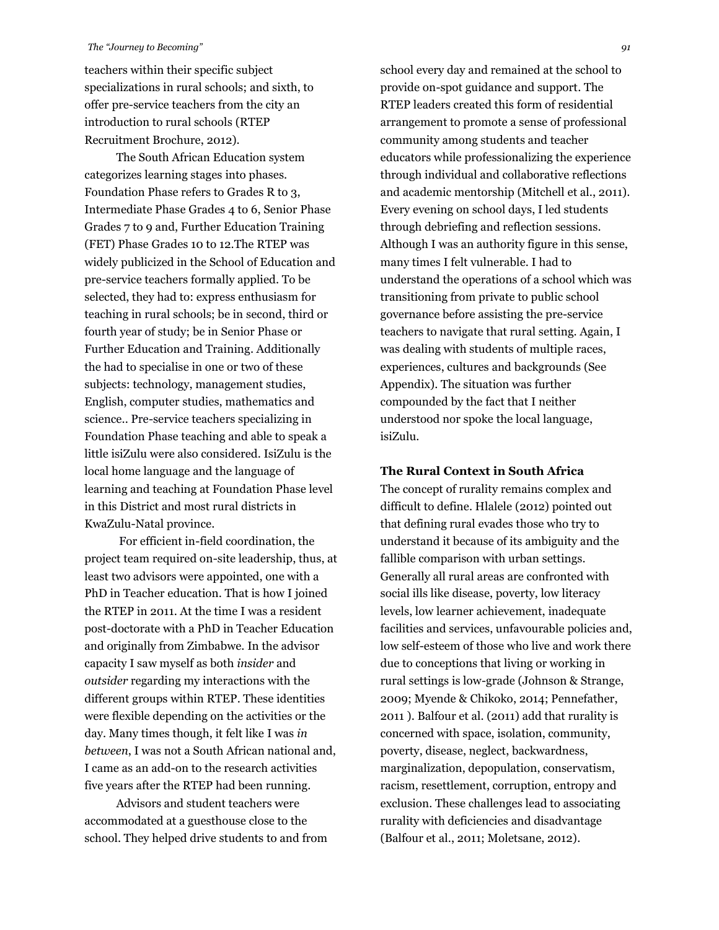teachers within their specific subject specializations in rural schools; and sixth, to offer pre-service teachers from the city an introduction to rural schools (RTEP Recruitment Brochure, 2012).

The South African Education system categorizes learning stages into phases. Foundation Phase refers to Grades R to 3, Intermediate Phase Grades 4 to 6, Senior Phase Grades 7 to 9 and, Further Education Training (FET) Phase Grades 10 to 12.The RTEP was widely publicized in the School of Education and pre-service teachers formally applied. To be selected, they had to: express enthusiasm for teaching in rural schools; be in second, third or fourth year of study; be in Senior Phase or Further Education and Training. Additionally the had to specialise in one or two of these subjects: technology, management studies, English, computer studies, mathematics and science.. Pre-service teachers specializing in Foundation Phase teaching and able to speak a little isiZulu were also considered. IsiZulu is the local home language and the language of learning and teaching at Foundation Phase level in this District and most rural districts in KwaZulu-Natal province.

For efficient in-field coordination, the project team required on-site leadership, thus, at least two advisors were appointed, one with a PhD in Teacher education. That is how I joined the RTEP in 2011. At the time I was a resident post-doctorate with a PhD in Teacher Education and originally from Zimbabwe. In the advisor capacity I saw myself as both *insider* and *outsider* regarding my interactions with the different groups within RTEP. These identities were flexible depending on the activities or the day. Many times though, it felt like I was *in between*, I was not a South African national and, I came as an add-on to the research activities five years after the RTEP had been running.

Advisors and student teachers were accommodated at a guesthouse close to the school. They helped drive students to and from school every day and remained at the school to provide on-spot guidance and support. The RTEP leaders created this form of residential arrangement to promote a sense of professional community among students and teacher educators while professionalizing the experience through individual and collaborative reflections and academic mentorship (Mitchell et al., 2011). Every evening on school days, I led students through debriefing and reflection sessions. Although I was an authority figure in this sense, many times I felt vulnerable. I had to understand the operations of a school which was transitioning from private to public school governance before assisting the pre-service teachers to navigate that rural setting. Again, I was dealing with students of multiple races, experiences, cultures and backgrounds (See Appendix). The situation was further compounded by the fact that I neither understood nor spoke the local language, isiZulu.

#### **The Rural Context in South Africa**

The concept of rurality remains complex and difficult to define. Hlalele (2012) pointed out that defining rural evades those who try to understand it because of its ambiguity and the fallible comparison with urban settings. Generally all rural areas are confronted with social ills like disease, poverty, low literacy levels, low learner achievement, inadequate facilities and services, unfavourable policies and, low self-esteem of those who live and work there due to conceptions that living or working in rural settings is low-grade (Johnson & Strange, 2009; Myende & Chikoko, 2014; Pennefather, 2011 ). Balfour et al. (2011) add that rurality is concerned with space, isolation, community, poverty, disease, neglect, backwardness, marginalization, depopulation, conservatism, racism, resettlement, corruption, entropy and exclusion. These challenges lead to associating rurality with deficiencies and disadvantage (Balfour et al., 2011; Moletsane, 2012).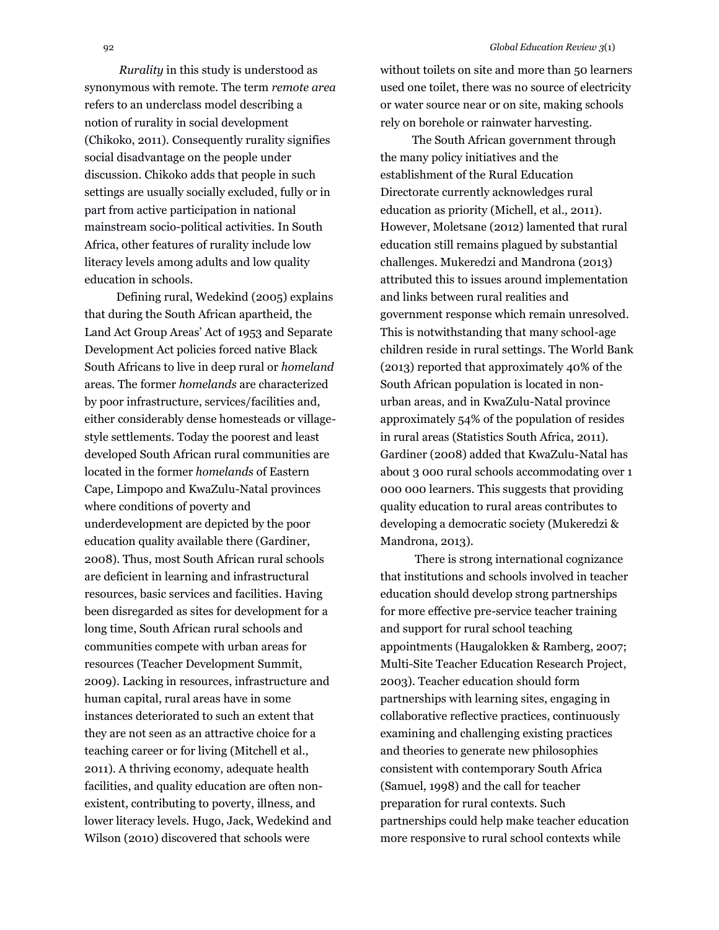*Rurality* in this study is understood as synonymous with remote. The term *remote area* refers to an underclass model describing a notion of rurality in social development (Chikoko, 2011). Consequently rurality signifies social disadvantage on the people under discussion. Chikoko adds that people in such settings are usually socially excluded, fully or in part from active participation in national mainstream socio-political activities. In South Africa, other features of rurality include low literacy levels among adults and low quality education in schools.

Defining rural, Wedekind (2005) explains that during the South African apartheid, the Land Act Group Areas' Act of 1953 and Separate Development Act policies forced native Black South Africans to live in deep rural or *homeland* areas. The former *homelands* are characterized by poor infrastructure, services/facilities and, either considerably dense homesteads or villagestyle settlements. Today the poorest and least developed South African rural communities are located in the former *homelands* of Eastern Cape, Limpopo and KwaZulu-Natal provinces where conditions of poverty and underdevelopment are depicted by the poor education quality available there (Gardiner, 2008). Thus, most South African rural schools are deficient in learning and infrastructural resources, basic services and facilities. Having been disregarded as sites for development for a long time, South African rural schools and communities compete with urban areas for resources (Teacher Development Summit, 2009). Lacking in resources, infrastructure and human capital, rural areas have in some instances deteriorated to such an extent that they are not seen as an attractive choice for a teaching career or for living (Mitchell et al., 2011). A thriving economy, adequate health facilities, and quality education are often nonexistent, contributing to poverty, illness, and lower literacy levels. Hugo, Jack, Wedekind and Wilson (2010) discovered that schools were

without toilets on site and more than 50 learners used one toilet, there was no source of electricity or water source near or on site, making schools rely on borehole or rainwater harvesting.

The South African government through the many policy initiatives and the establishment of the Rural Education Directorate currently acknowledges rural education as priority (Michell, et al., 2011). However, Moletsane (2012) lamented that rural education still remains plagued by substantial challenges. Mukeredzi and Mandrona (2013) attributed this to issues around implementation and links between rural realities and government response which remain unresolved. This is notwithstanding that many school-age children reside in rural settings. The World Bank (2013) reported that approximately 40% of the South African population is located in nonurban areas, and in KwaZulu-Natal province approximately 54% of the population of resides in rural areas (Statistics South Africa, 2011). Gardiner (2008) added that KwaZulu-Natal has about 3 000 rural schools accommodating over 1 000 000 learners. This suggests that providing quality education to rural areas contributes to developing a democratic society (Mukeredzi & Mandrona, 2013).

There is strong international cognizance that institutions and schools involved in teacher education should develop strong partnerships for more effective pre-service teacher training and support for rural school teaching appointments (Haugalokken & Ramberg, 2007; Multi-Site Teacher Education Research Project, 2003). Teacher education should form partnerships with learning sites, engaging in collaborative reflective practices, continuously examining and challenging existing practices and theories to generate new philosophies consistent with contemporary South Africa (Samuel, 1998) and the call for teacher preparation for rural contexts. Such partnerships could help make teacher education more responsive to rural school contexts while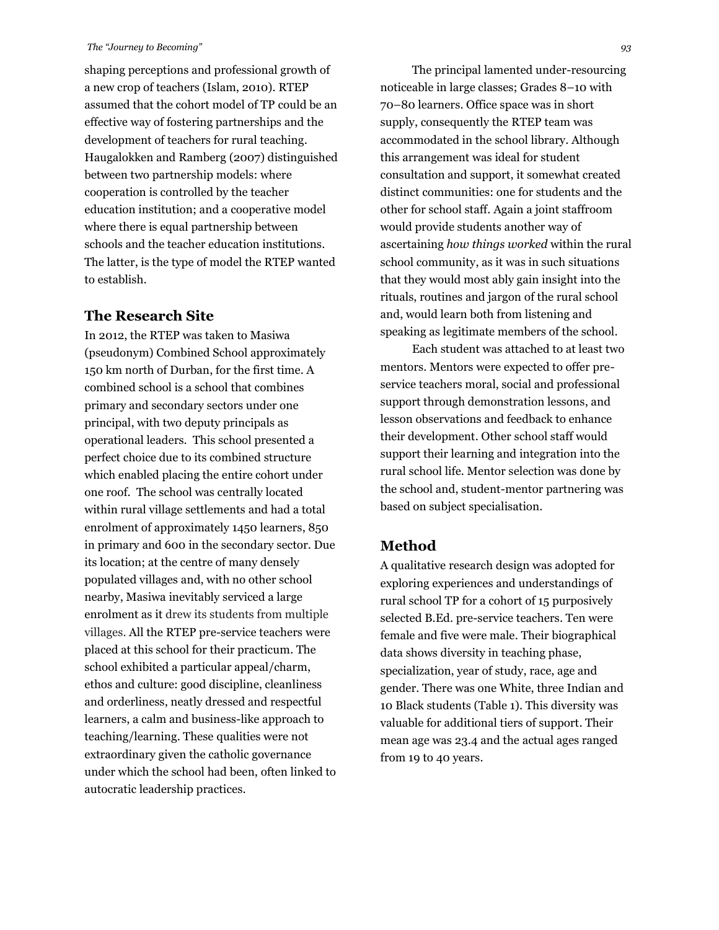shaping perceptions and professional growth of a new crop of teachers (Islam, 2010). RTEP assumed that the cohort model of TP could be an effective way of fostering partnerships and the development of teachers for rural teaching. Haugalokken and Ramberg (2007) distinguished between two partnership models: where cooperation is controlled by the teacher education institution; and a cooperative model where there is equal partnership between schools and the teacher education institutions. The latter, is the type of model the RTEP wanted to establish.

## **The Research Site**

In 2012, the RTEP was taken to Masiwa (pseudonym) Combined School approximately 150 km north of Durban, for the first time. A combined school is a school that combines primary and secondary sectors under one principal, with two deputy principals as operational leaders. This school presented a perfect choice due to its combined structure which enabled placing the entire cohort under one roof. The school was centrally located within rural village settlements and had a total enrolment of approximately 1450 learners, 850 in primary and 600 in the secondary sector. Due its location; at the centre of many densely populated villages and, with no other school nearby, Masiwa inevitably serviced a large enrolment as it drew its students from multiple villages. All the RTEP pre-service teachers were placed at this school for their practicum. The school exhibited a particular appeal/charm, ethos and culture: good discipline, cleanliness and orderliness, neatly dressed and respectful learners, a calm and business-like approach to teaching/learning. These qualities were not extraordinary given the catholic governance under which the school had been, often linked to autocratic leadership practices.

The principal lamented under-resourcing noticeable in large classes; Grades 8–10 with 70–80 learners. Office space was in short supply, consequently the RTEP team was accommodated in the school library. Although this arrangement was ideal for student consultation and support, it somewhat created distinct communities: one for students and the other for school staff. Again a joint staffroom would provide students another way of ascertaining *how things worked* within the rural school community, as it was in such situations that they would most ably gain insight into the rituals, routines and jargon of the rural school and, would learn both from listening and speaking as legitimate members of the school.

Each student was attached to at least two mentors. Mentors were expected to offer preservice teachers moral, social and professional support through demonstration lessons, and lesson observations and feedback to enhance their development. Other school staff would support their learning and integration into the rural school life. Mentor selection was done by the school and, student-mentor partnering was based on subject specialisation.

## **Method**

A qualitative research design was adopted for exploring experiences and understandings of rural school TP for a cohort of 15 purposively selected B.Ed. pre-service teachers. Ten were female and five were male. Their biographical data shows diversity in teaching phase, specialization, year of study, race, age and gender. There was one White, three Indian and 10 Black students (Table 1). This diversity was valuable for additional tiers of support. Their mean age was 23.4 and the actual ages ranged from 19 to 40 years.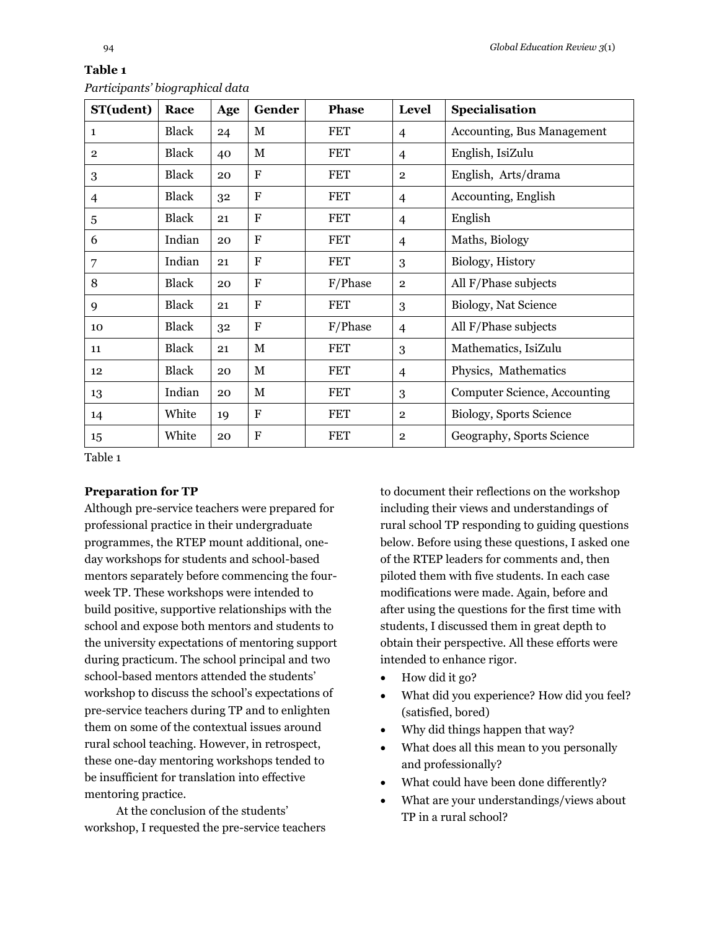| ını |  |
|-----|--|

| ST(udent)      | Race         | Age | Gender       | <b>Phase</b> | <b>Level</b>   | Specialisation               |
|----------------|--------------|-----|--------------|--------------|----------------|------------------------------|
| 1              | <b>Black</b> | 24  | М            | <b>FET</b>   | $\overline{4}$ | Accounting, Bus Management   |
| $\overline{2}$ | <b>Black</b> | 40  | $\mathbf M$  | <b>FET</b>   | 4              | English, IsiZulu             |
| 3              | <b>Black</b> | 20  | F            | <b>FET</b>   | $\overline{2}$ | English, Arts/drama          |
| 4              | Black        | 32  | $\mathbf F$  | <b>FET</b>   | 4              | Accounting, English          |
| 5              | <b>Black</b> | 21  | $\mathbf F$  | <b>FET</b>   | 4              | English                      |
| 6              | Indian       | 20  | F            | <b>FET</b>   | $\overline{4}$ | Maths, Biology               |
| 7              | Indian       | 21  | $\mathbf{F}$ | <b>FET</b>   | 3              | Biology, History             |
| 8              | <b>Black</b> | 20  | F            | F/Phase      | $\overline{2}$ | All F/Phase subjects         |
| 9              | <b>Black</b> | 21  | F            | <b>FET</b>   | 3              | Biology, Nat Science         |
| 10             | <b>Black</b> | 32  | $\mathbf F$  | F/Phase      | 4              | All F/Phase subjects         |
| 11             | <b>Black</b> | 21  | $\mathbf M$  | <b>FET</b>   | 3              | Mathematics, IsiZulu         |
| 12             | <b>Black</b> | 20  | М            | <b>FET</b>   | 4              | Physics, Mathematics         |
| 13             | Indian       | 20  | $\mathbf M$  | <b>FET</b>   | 3              | Computer Science, Accounting |
| 14             | White        | 19  | F            | <b>FET</b>   | $\overline{2}$ | Biology, Sports Science      |
| 15             | White        | 20  | $\mathbf F$  | <b>FET</b>   | $\overline{2}$ | Geography, Sports Science    |

#### *Participants' biographical data*

Table 1

#### **Preparation for TP**

Although pre-service teachers were prepared for professional practice in their undergraduate programmes, the RTEP mount additional, oneday workshops for students and school-based mentors separately before commencing the fourweek TP. These workshops were intended to build positive, supportive relationships with the school and expose both mentors and students to the university expectations of mentoring support during practicum. The school principal and two school-based mentors attended the students' workshop to discuss the school's expectations of pre-service teachers during TP and to enlighten them on some of the contextual issues around rural school teaching. However, in retrospect, these one-day mentoring workshops tended to be insufficient for translation into effective mentoring practice.

At the conclusion of the students' workshop, I requested the pre-service teachers to document their reflections on the workshop including their views and understandings of rural school TP responding to guiding questions below. Before using these questions, I asked one of the RTEP leaders for comments and, then piloted them with five students. In each case modifications were made. Again, before and after using the questions for the first time with students, I discussed them in great depth to obtain their perspective. All these efforts were intended to enhance rigor.

- How did it go?
- What did you experience? How did you feel? (satisfied, bored)
- Why did things happen that way?
- What does all this mean to you personally and professionally?
- What could have been done differently?
- What are your understandings/views about TP in a rural school?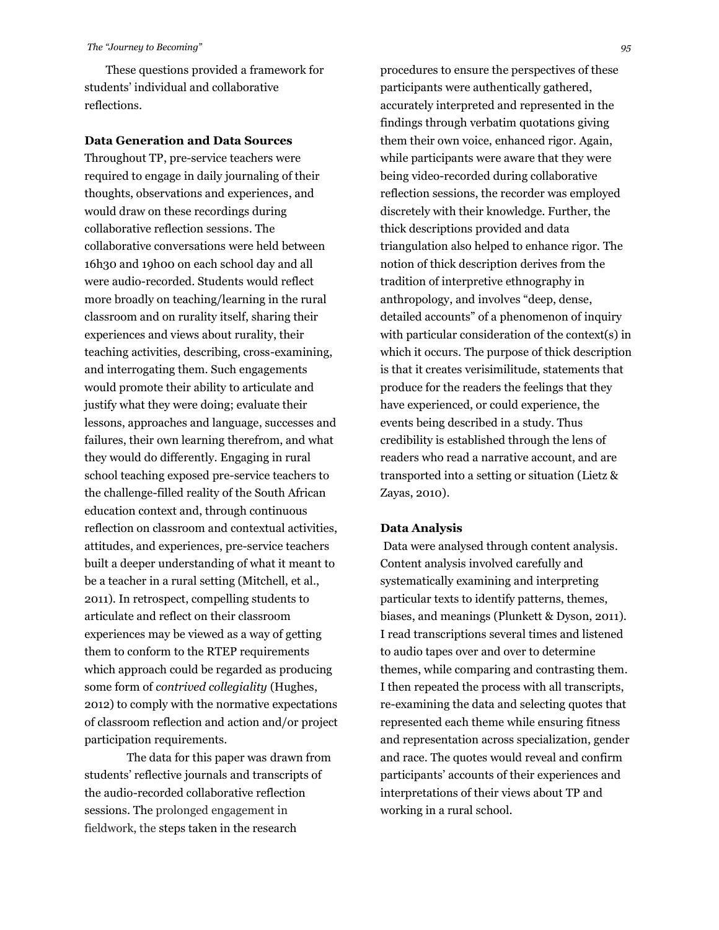These questions provided a framework for students' individual and collaborative reflections.

#### **Data Generation and Data Sources**

Throughout TP, pre-service teachers were required to engage in daily journaling of their thoughts, observations and experiences, and would draw on these recordings during collaborative reflection sessions. The collaborative conversations were held between 16h30 and 19h00 on each school day and all were audio-recorded. Students would reflect more broadly on teaching/learning in the rural classroom and on rurality itself, sharing their experiences and views about rurality, their teaching activities, describing, cross-examining, and interrogating them. Such engagements would promote their ability to articulate and justify what they were doing; evaluate their lessons, approaches and language, successes and failures, their own learning therefrom, and what they would do differently. Engaging in rural school teaching exposed pre-service teachers to the challenge-filled reality of the South African education context and, through continuous reflection on classroom and contextual activities, attitudes, and experiences, pre-service teachers built a deeper understanding of what it meant to be a teacher in a rural setting (Mitchell, et al., 2011). In retrospect, compelling students to articulate and reflect on their classroom experiences may be viewed as a way of getting them to conform to the RTEP requirements which approach could be regarded as producing some form of *contrived collegiality* (Hughes, 2012) to comply with the normative expectations of classroom reflection and action and/or project participation requirements.

The data for this paper was drawn from students' reflective journals and transcripts of the audio-recorded collaborative reflection sessions. The prolonged engagement in fieldwork, the steps taken in the research

procedures to ensure the perspectives of these participants were authentically gathered, accurately interpreted and represented in the findings through verbatim quotations giving them their own voice, enhanced rigor. Again, while participants were aware that they were being video-recorded during collaborative reflection sessions, the recorder was employed discretely with their knowledge. Further, the thick descriptions provided and data triangulation also helped to enhance rigor. The notion of thick description derives from the tradition of interpretive ethnography in anthropology, and involves "deep, dense, detailed accounts" of a phenomenon of inquiry with particular consideration of the context(s) in which it occurs. The purpose of thick description is that it creates verisimilitude, statements that produce for the readers the feelings that they have experienced, or could experience, the events being described in a study. Thus credibility is established through the lens of readers who read a narrative account, and are transported into a setting or situation (Lietz & Zayas, 2010).

#### **Data Analysis**

Data were analysed through content analysis. Content analysis involved carefully and systematically examining and interpreting particular texts to identify patterns, themes, biases, and meanings (Plunkett & Dyson, 2011). I read transcriptions several times and listened to audio tapes over and over to determine themes, while comparing and contrasting them. I then repeated the process with all transcripts, re-examining the data and selecting quotes that represented each theme while ensuring fitness and representation across specialization, gender and race. The quotes would reveal and confirm participants' accounts of their experiences and interpretations of their views about TP and working in a rural school.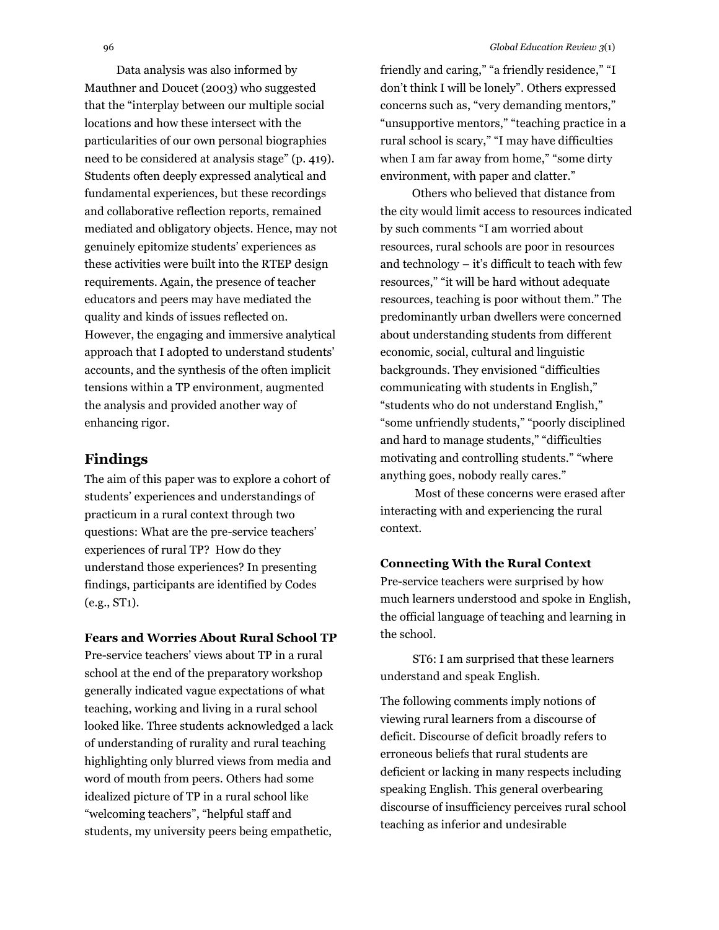Data analysis was also informed by Mauthner and Doucet (2003) who suggested that the "interplay between our multiple social locations and how these intersect with the particularities of our own personal biographies need to be considered at analysis stage" (p. 419). Students often deeply expressed analytical and fundamental experiences, but these recordings and collaborative reflection reports, remained mediated and obligatory objects. Hence, may not genuinely epitomize students' experiences as these activities were built into the RTEP design requirements. Again, the presence of teacher educators and peers may have mediated the quality and kinds of issues reflected on. However, the engaging and immersive analytical approach that I adopted to understand students' accounts, and the synthesis of the often implicit tensions within a TP environment, augmented the analysis and provided another way of enhancing rigor.

## **Findings**

The aim of this paper was to explore a cohort of students' experiences and understandings of practicum in a rural context through two questions: What are the pre-service teachers' experiences of rural TP? How do they understand those experiences? In presenting findings, participants are identified by Codes (e.g., ST1).

#### **Fears and Worries About Rural School TP**

Pre-service teachers' views about TP in a rural school at the end of the preparatory workshop generally indicated vague expectations of what teaching, working and living in a rural school looked like. Three students acknowledged a lack of understanding of rurality and rural teaching highlighting only blurred views from media and word of mouth from peers. Others had some idealized picture of TP in a rural school like "welcoming teachers", "helpful staff and students, my university peers being empathetic,

friendly and caring," "a friendly residence," "I don't think I will be lonely". Others expressed concerns such as, "very demanding mentors," "unsupportive mentors," "teaching practice in a rural school is scary," "I may have difficulties when I am far away from home," "some dirty environment, with paper and clatter."

Others who believed that distance from the city would limit access to resources indicated by such comments "I am worried about resources, rural schools are poor in resources and technology – it's difficult to teach with few resources," "it will be hard without adequate resources, teaching is poor without them." The predominantly urban dwellers were concerned about understanding students from different economic, social, cultural and linguistic backgrounds. They envisioned "difficulties communicating with students in English," "students who do not understand English," "some unfriendly students," "poorly disciplined and hard to manage students," "difficulties motivating and controlling students." "where anything goes, nobody really cares."

Most of these concerns were erased after interacting with and experiencing the rural context.

#### **Connecting With the Rural Context**

Pre-service teachers were surprised by how much learners understood and spoke in English, the official language of teaching and learning in the school.

ST6: I am surprised that these learners understand and speak English.

The following comments imply notions of viewing rural learners from a discourse of deficit. Discourse of deficit broadly refers to erroneous beliefs that rural students are deficient or lacking in many respects including speaking English. This general overbearing discourse of insufficiency perceives rural school teaching as inferior and undesirable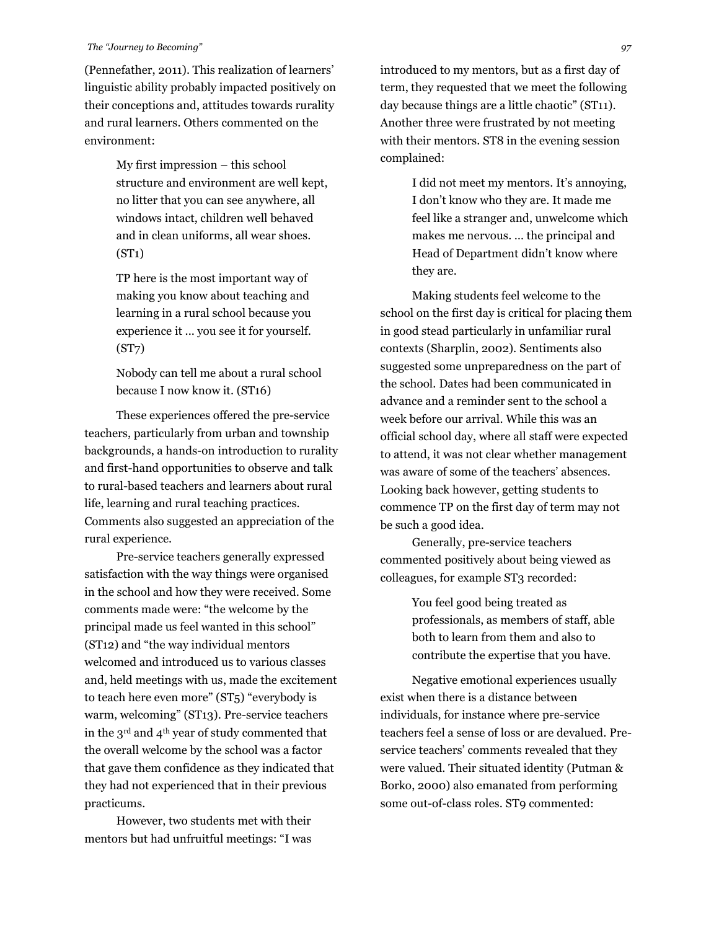(Pennefather, 2011). This realization of learners' linguistic ability probably impacted positively on their conceptions and, attitudes towards rurality and rural learners. Others commented on the environment:

> My first impression – this school structure and environment are well kept, no litter that you can see anywhere, all windows intact, children well behaved and in clean uniforms, all wear shoes. (ST1)

TP here is the most important way of making you know about teaching and learning in a rural school because you experience it ... you see it for yourself. (ST7)

Nobody can tell me about a rural school because I now know it. (ST16)

These experiences offered the pre-service teachers, particularly from urban and township backgrounds, a hands-on introduction to rurality and first-hand opportunities to observe and talk to rural-based teachers and learners about rural life, learning and rural teaching practices. Comments also suggested an appreciation of the rural experience.

Pre-service teachers generally expressed satisfaction with the way things were organised in the school and how they were received. Some comments made were: "the welcome by the principal made us feel wanted in this school" (ST12) and "the way individual mentors welcomed and introduced us to various classes and, held meetings with us, made the excitement to teach here even more" (ST5) "everybody is warm, welcoming" (ST13). Pre-service teachers in the 3rd and 4th year of study commented that the overall welcome by the school was a factor that gave them confidence as they indicated that they had not experienced that in their previous practicums.

However, two students met with their mentors but had unfruitful meetings: "I was introduced to my mentors, but as a first day of term, they requested that we meet the following day because things are a little chaotic" (ST11). Another three were frustrated by not meeting with their mentors. ST8 in the evening session complained:

> I did not meet my mentors. It's annoying, I don't know who they are. It made me feel like a stranger and, unwelcome which makes me nervous. … the principal and Head of Department didn't know where they are.

Making students feel welcome to the school on the first day is critical for placing them in good stead particularly in unfamiliar rural contexts (Sharplin, 2002). Sentiments also suggested some unpreparedness on the part of the school. Dates had been communicated in advance and a reminder sent to the school a week before our arrival. While this was an official school day, where all staff were expected to attend, it was not clear whether management was aware of some of the teachers' absences. Looking back however, getting students to commence TP on the first day of term may not be such a good idea.

Generally, pre-service teachers commented positively about being viewed as colleagues, for example ST3 recorded:

> You feel good being treated as professionals, as members of staff, able both to learn from them and also to contribute the expertise that you have.

Negative emotional experiences usually exist when there is a distance between individuals, for instance where pre-service teachers feel a sense of loss or are devalued. Preservice teachers' comments revealed that they were valued. Their situated identity (Putman & Borko, 2000) also emanated from performing some out-of-class roles. ST9 commented: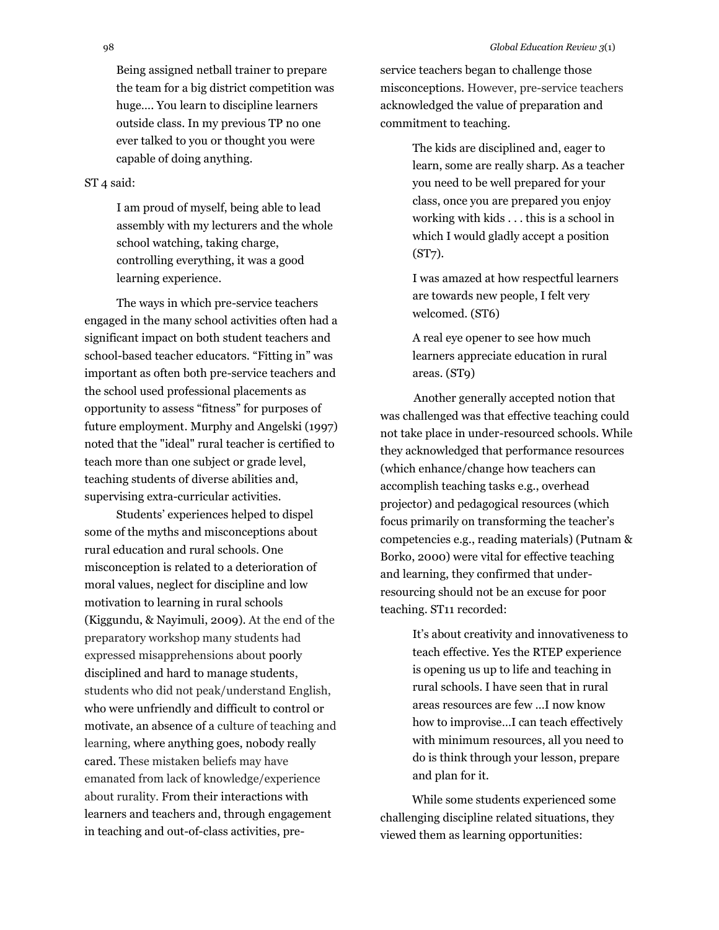Being assigned netball trainer to prepare the team for a big district competition was huge…. You learn to discipline learners outside class. In my previous TP no one ever talked to you or thought you were capable of doing anything.

#### ST 4 said:

I am proud of myself, being able to lead assembly with my lecturers and the whole school watching, taking charge, controlling everything, it was a good learning experience.

The ways in which pre-service teachers engaged in the many school activities often had a significant impact on both student teachers and school-based teacher educators. "Fitting in" was important as often both pre-service teachers and the school used professional placements as opportunity to assess "fitness" for purposes of future employment. Murphy and Angelski (1997) noted that the "ideal" rural teacher is certified to teach more than one subject or grade level, teaching students of diverse abilities and, supervising extra-curricular activities.

Students' experiences helped to dispel some of the myths and misconceptions about rural education and rural schools. One misconception is related to a deterioration of moral values, neglect for discipline and low motivation to learning in rural schools (Kiggundu, & Nayimuli, 2009). At the end of the preparatory workshop many students had expressed misapprehensions about poorly disciplined and hard to manage students, students who did not peak/understand English, who were unfriendly and difficult to control or motivate, an absence of a culture of teaching and learning, where anything goes, nobody really cared. These mistaken beliefs may have emanated from lack of knowledge/experience about rurality. From their interactions with learners and teachers and, through engagement in teaching and out-of-class activities, preservice teachers began to challenge those misconceptions. However, pre-service teachers acknowledged the value of preparation and commitment to teaching.

> The kids are disciplined and, eager to learn, some are really sharp. As a teacher you need to be well prepared for your class, once you are prepared you enjoy working with kids . . . this is a school in which I would gladly accept a position (ST7).

I was amazed at how respectful learners are towards new people, I felt very welcomed. (ST6)

A real eye opener to see how much learners appreciate education in rural areas. (ST9)

Another generally accepted notion that was challenged was that effective teaching could not take place in under-resourced schools. While they acknowledged that performance resources (which enhance/change how teachers can accomplish teaching tasks e.g., overhead projector) and pedagogical resources (which focus primarily on transforming the teacher's competencies e.g., reading materials) (Putnam & Borko, 2000) were vital for effective teaching and learning, they confirmed that underresourcing should not be an excuse for poor teaching. ST11 recorded:

> It's about creativity and innovativeness to teach effective. Yes the RTEP experience is opening us up to life and teaching in rural schools. I have seen that in rural areas resources are few …I now know how to improvise…I can teach effectively with minimum resources, all you need to do is think through your lesson, prepare and plan for it.

While some students experienced some challenging discipline related situations, they viewed them as learning opportunities: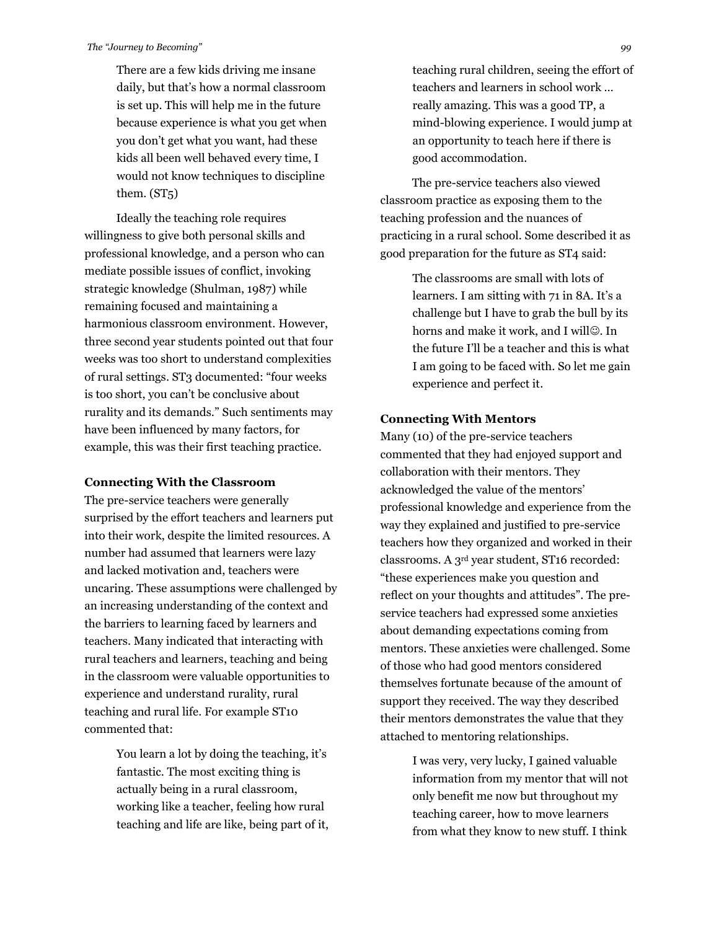There are a few kids driving me insane daily, but that's how a normal classroom is set up. This will help me in the future because experience is what you get when you don't get what you want, had these kids all been well behaved every time, I would not know techniques to discipline them. (ST5)

Ideally the teaching role requires willingness to give both personal skills and professional knowledge, and a person who can mediate possible issues of conflict, invoking strategic knowledge (Shulman, 1987) while remaining focused and maintaining a harmonious classroom environment. However, three second year students pointed out that four weeks was too short to understand complexities of rural settings. ST3 documented: "four weeks is too short, you can't be conclusive about rurality and its demands." Such sentiments may have been influenced by many factors, for example, this was their first teaching practice.

#### **Connecting With the Classroom**

The pre-service teachers were generally surprised by the effort teachers and learners put into their work, despite the limited resources. A number had assumed that learners were lazy and lacked motivation and, teachers were uncaring. These assumptions were challenged by an increasing understanding of the context and the barriers to learning faced by learners and teachers. Many indicated that interacting with rural teachers and learners, teaching and being in the classroom were valuable opportunities to experience and understand rurality, rural teaching and rural life. For example ST10 commented that:

> You learn a lot by doing the teaching, it's fantastic. The most exciting thing is actually being in a rural classroom, working like a teacher, feeling how rural teaching and life are like, being part of it,

teaching rural children, seeing the effort of teachers and learners in school work … really amazing. This was a good TP, a mind-blowing experience. I would jump at an opportunity to teach here if there is good accommodation.

The pre-service teachers also viewed classroom practice as exposing them to the teaching profession and the nuances of practicing in a rural school. Some described it as good preparation for the future as ST4 said:

> The classrooms are small with lots of learners. I am sitting with 71 in 8A. It's a challenge but I have to grab the bull by its horns and make it work, and I will@. In the future I'll be a teacher and this is what I am going to be faced with. So let me gain experience and perfect it.

#### **Connecting With Mentors**

Many (10) of the pre-service teachers commented that they had enjoyed support and collaboration with their mentors. They acknowledged the value of the mentors' professional knowledge and experience from the way they explained and justified to pre-service teachers how they organized and worked in their classrooms. A 3rd year student, ST16 recorded: "these experiences make you question and reflect on your thoughts and attitudes". The preservice teachers had expressed some anxieties about demanding expectations coming from mentors. These anxieties were challenged. Some of those who had good mentors considered themselves fortunate because of the amount of support they received. The way they described their mentors demonstrates the value that they attached to mentoring relationships.

> I was very, very lucky, I gained valuable information from my mentor that will not only benefit me now but throughout my teaching career, how to move learners from what they know to new stuff. I think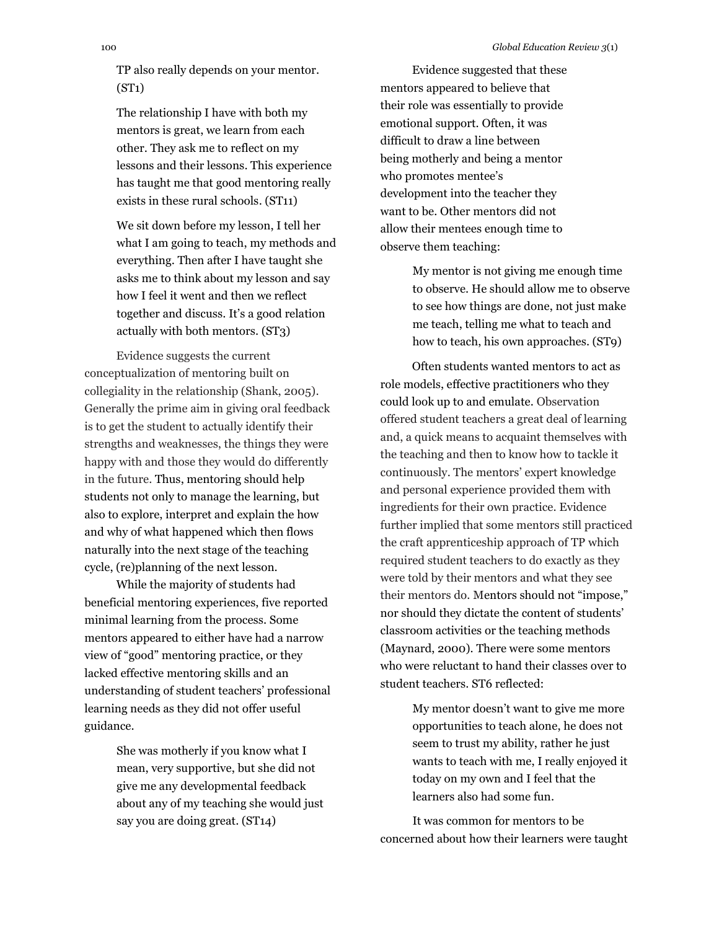TP also really depends on your mentor. (ST1)

The relationship I have with both my mentors is great, we learn from each other. They ask me to reflect on my lessons and their lessons. This experience has taught me that good mentoring really exists in these rural schools. (ST11)

We sit down before my lesson, I tell her what I am going to teach, my methods and everything. Then after I have taught she asks me to think about my lesson and say how I feel it went and then we reflect together and discuss. It's a good relation actually with both mentors. (ST3)

Evidence suggests the current conceptualization of mentoring built on collegiality in the relationship (Shank, 2005). Generally the prime aim in giving oral feedback is to get the student to actually identify their strengths and weaknesses, the things they were happy with and those they would do differently in the future. Thus, mentoring should help students not only to manage the learning, but also to explore, interpret and explain the how and why of what happened which then flows naturally into the next stage of the teaching cycle, (re)planning of the next lesson.

While the majority of students had beneficial mentoring experiences, five reported minimal learning from the process. Some mentors appeared to either have had a narrow view of "good" mentoring practice, or they lacked effective mentoring skills and an understanding of student teachers' professional learning needs as they did not offer useful guidance.

> She was motherly if you know what I mean, very supportive, but she did not give me any developmental feedback about any of my teaching she would just say you are doing great. (ST14)

Evidence suggested that these mentors appeared to believe that their role was essentially to provide emotional support. Often, it was difficult to draw a line between being motherly and being a mentor who promotes mentee's development into the teacher they want to be. Other mentors did not allow their mentees enough time to observe them teaching:

> My mentor is not giving me enough time to observe. He should allow me to observe to see how things are done, not just make me teach, telling me what to teach and how to teach, his own approaches. (ST9)

Often students wanted mentors to act as role models, effective practitioners who they could look up to and emulate. Observation offered student teachers a great deal of learning and, a quick means to acquaint themselves with the teaching and then to know how to tackle it continuously. The mentors' expert knowledge and personal experience provided them with ingredients for their own practice. Evidence further implied that some mentors still practiced the craft apprenticeship approach of TP which required student teachers to do exactly as they were told by their mentors and what they see their mentors do. Mentors should not "impose," nor should they dictate the content of students' classroom activities or the teaching methods (Maynard, 2000). There were some mentors who were reluctant to hand their classes over to student teachers. ST6 reflected:

> My mentor doesn't want to give me more opportunities to teach alone, he does not seem to trust my ability, rather he just wants to teach with me, I really enjoyed it today on my own and I feel that the learners also had some fun.

It was common for mentors to be concerned about how their learners were taught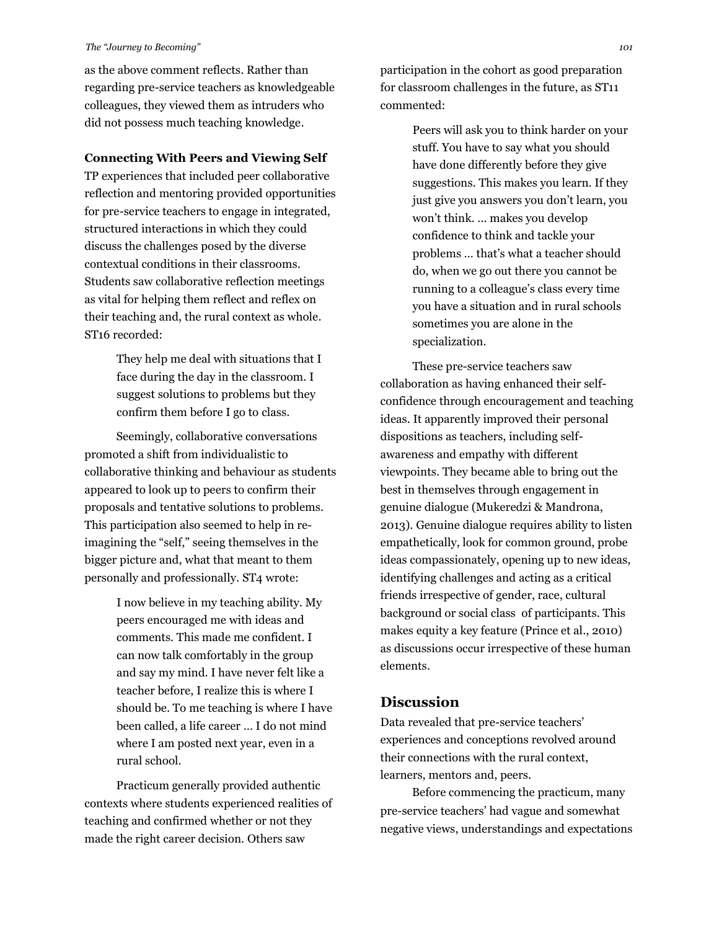as the above comment reflects. Rather than regarding pre-service teachers as knowledgeable colleagues, they viewed them as intruders who did not possess much teaching knowledge.

#### **Connecting With Peers and Viewing Self**

TP experiences that included peer collaborative reflection and mentoring provided opportunities for pre-service teachers to engage in integrated, structured interactions in which they could discuss the challenges posed by the diverse contextual conditions in their classrooms. Students saw collaborative reflection meetings as vital for helping them reflect and reflex on their teaching and, the rural context as whole. ST16 recorded:

> They help me deal with situations that I face during the day in the classroom. I suggest solutions to problems but they confirm them before I go to class.

Seemingly, collaborative conversations promoted a shift from individualistic to collaborative thinking and behaviour as students appeared to look up to peers to confirm their proposals and tentative solutions to problems. This participation also seemed to help in reimagining the "self," seeing themselves in the bigger picture and, what that meant to them personally and professionally. ST4 wrote:

> I now believe in my teaching ability. My peers encouraged me with ideas and comments. This made me confident. I can now talk comfortably in the group and say my mind. I have never felt like a teacher before, I realize this is where I should be. To me teaching is where I have been called, a life career … I do not mind where I am posted next year, even in a rural school.

Practicum generally provided authentic contexts where students experienced realities of teaching and confirmed whether or not they made the right career decision. Others saw

participation in the cohort as good preparation for classroom challenges in the future, as ST11 commented:

> Peers will ask you to think harder on your stuff. You have to say what you should have done differently before they give suggestions. This makes you learn. If they just give you answers you don't learn, you won't think. … makes you develop confidence to think and tackle your problems … that's what a teacher should do, when we go out there you cannot be running to a colleague's class every time you have a situation and in rural schools sometimes you are alone in the specialization.

These pre-service teachers saw collaboration as having enhanced their selfconfidence through encouragement and teaching ideas. It apparently improved their personal dispositions as teachers, including selfawareness and empathy with different viewpoints. They became able to bring out the best in themselves through engagement in genuine dialogue (Mukeredzi & Mandrona, 2013). Genuine dialogue requires ability to listen empathetically, look for common ground, probe ideas compassionately, opening up to new ideas, identifying challenges and acting as a critical friends irrespective of gender, race, cultural background or social class of participants. This makes equity a key feature (Prince et al., 2010) as discussions occur irrespective of these human elements.

## **Discussion**

Data revealed that pre-service teachers' experiences and conceptions revolved around their connections with the rural context, learners, mentors and, peers.

Before commencing the practicum, many pre-service teachers' had vague and somewhat negative views, understandings and expectations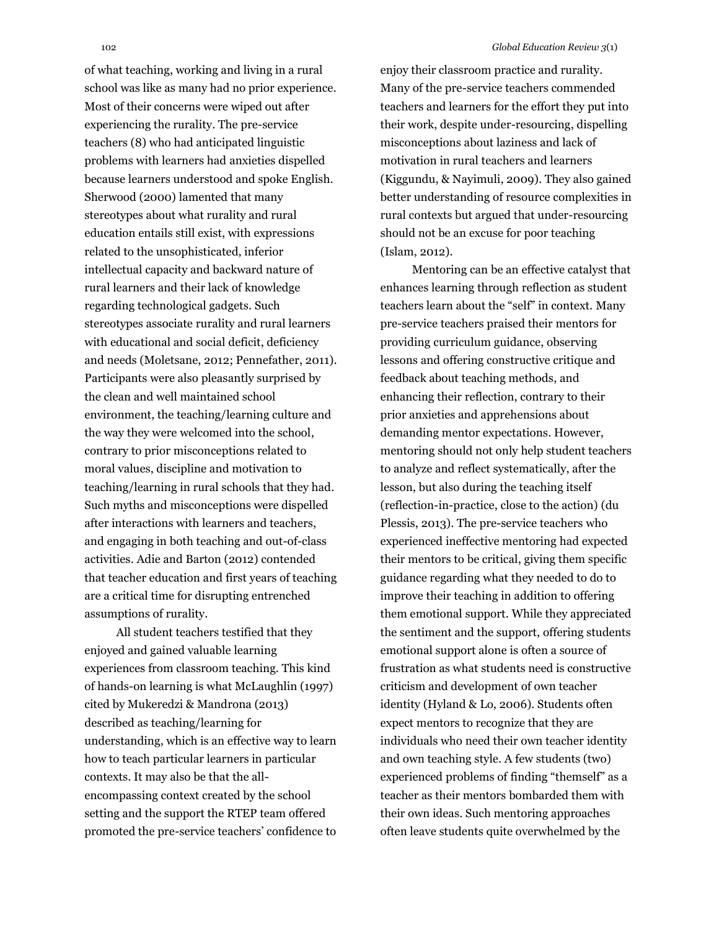of what teaching, working and living in a rural school was like as many had no prior experience. Most of their concerns were wiped out after experiencing the rurality. The pre-service teachers (8) who had anticipated linguistic problems with learners had anxieties dispelled because learners understood and spoke English. Sherwood (2000) lamented that many stereotypes about what rurality and rural education entails still exist, with expressions related to the unsophisticated, inferior intellectual capacity and backward nature of rural learners and their lack of knowledge regarding technological gadgets. Such stereotypes associate rurality and rural learners with educational and social deficit, deficiency and needs (Moletsane, 2012; Pennefather, 2011). Participants were also pleasantly surprised by the clean and well maintained school environment, the teaching/learning culture and the way they were welcomed into the school, contrary to prior misconceptions related to moral values, discipline and motivation to teaching/learning in rural schools that they had. Such myths and misconceptions were dispelled after interactions with learners and teachers, and engaging in both teaching and out-of-class activities. Adie and Barton (2012) contended that teacher education and first years of teaching are a critical time for disrupting entrenched assumptions of rurality.

All student teachers testified that they enjoyed and gained valuable learning experiences from classroom teaching. This kind of hands-on learning is what McLaughlin (1997) cited by Mukeredzi & Mandrona (2013) described as teaching/learning for understanding, which is an effective way to learn how to teach particular learners in particular contexts. It may also be that the allencompassing context created by the school setting and the support the RTEP team offered promoted the pre-service teachers' confidence to enjoy their classroom practice and rurality. Many of the pre-service teachers commended teachers and learners for the effort they put into their work, despite under-resourcing, dispelling misconceptions about laziness and lack of motivation in rural teachers and learners (Kiggundu, & Nayimuli, 2009). They also gained better understanding of resource complexities in rural contexts but argued that under-resourcing should not be an excuse for poor teaching (Islam, 2012).

Mentoring can be an effective catalyst that enhances learning through reflection as student teachers learn about the "self" in context. Many pre-service teachers praised their mentors for providing curriculum guidance, observing lessons and offering constructive critique and feedback about teaching methods, and enhancing their reflection, contrary to their prior anxieties and apprehensions about demanding mentor expectations. However, mentoring should not only help student teachers to analyze and reflect systematically, after the lesson, but also during the teaching itself (reflection-in-practice, close to the action) (du Plessis, 2013). The pre-service teachers who experienced ineffective mentoring had expected their mentors to be critical, giving them specific guidance regarding what they needed to do to improve their teaching in addition to offering them emotional support. While they appreciated the sentiment and the support, offering students emotional support alone is often a source of frustration as what students need is constructive criticism and development of own teacher identity (Hyland & Lo, 2006). Students often expect mentors to recognize that they are individuals who need their own teacher identity and own teaching style. A few students (two) experienced problems of finding "themself" as a teacher as their mentors bombarded them with their own ideas. Such mentoring approaches often leave students quite overwhelmed by the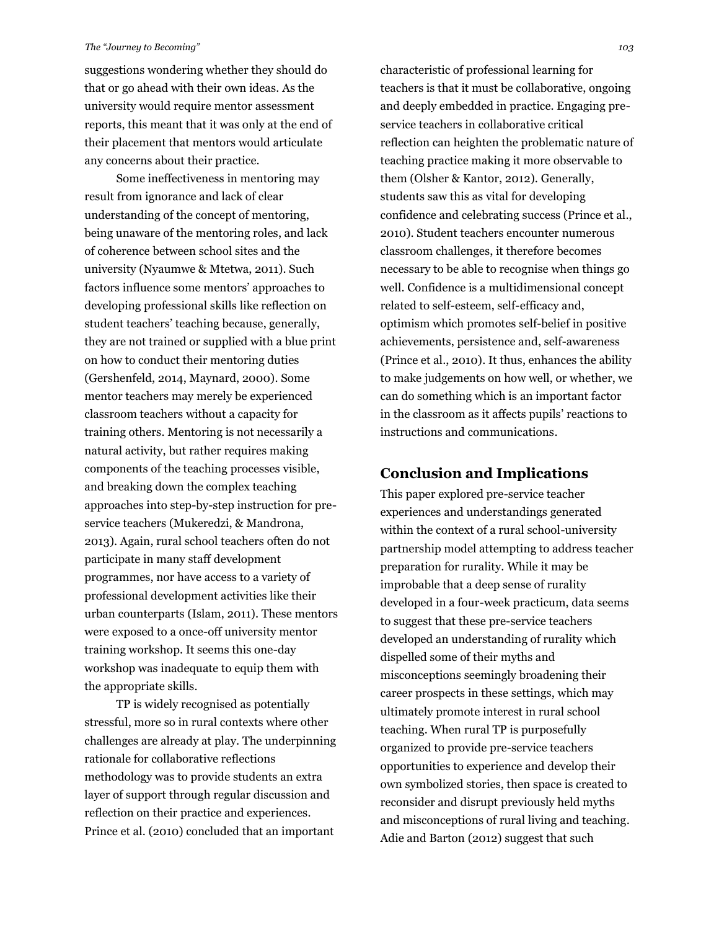suggestions wondering whether they should do that or go ahead with their own ideas. As the university would require mentor assessment reports, this meant that it was only at the end of their placement that mentors would articulate any concerns about their practice.

Some ineffectiveness in mentoring may result from ignorance and lack of clear understanding of the concept of mentoring, being unaware of the mentoring roles, and lack of coherence between school sites and the university (Nyaumwe & Mtetwa, 2011). Such factors influence some mentors' approaches to developing professional skills like reflection on student teachers' teaching because, generally, they are not trained or supplied with a blue print on how to conduct their mentoring duties (Gershenfeld, 2014, Maynard, 2000). Some mentor teachers may merely be experienced classroom teachers without a capacity for training others. Mentoring is not necessarily a natural activity, but rather requires making components of the teaching processes visible, and breaking down the complex teaching approaches into step-by-step instruction for preservice teachers (Mukeredzi, & Mandrona, 2013). Again, rural school teachers often do not participate in many staff development programmes, nor have access to a variety of professional development activities like their urban counterparts (Islam, 2011). These mentors were exposed to a once-off university mentor training workshop. It seems this one-day workshop was inadequate to equip them with the appropriate skills.

TP is widely recognised as potentially stressful, more so in rural contexts where other challenges are already at play. The underpinning rationale for collaborative reflections methodology was to provide students an extra layer of support through regular discussion and reflection on their practice and experiences. Prince et al. (2010) concluded that an important

characteristic of professional learning for teachers is that it must be collaborative, ongoing and deeply embedded in practice. Engaging preservice teachers in collaborative critical reflection can heighten the problematic nature of teaching practice making it more observable to them (Olsher & Kantor, 2012). Generally, students saw this as vital for developing confidence and celebrating success (Prince et al., 2010). Student teachers encounter numerous classroom challenges, it therefore becomes necessary to be able to recognise when things go well. Confidence is a multidimensional concept related to self-esteem, self-efficacy and, optimism which promotes self-belief in positive achievements, persistence and, self-awareness (Prince et al., 2010). It thus, enhances the ability to make judgements on how well, or whether, we can do something which is an important factor in the classroom as it affects pupils' reactions to instructions and communications.

## **Conclusion and Implications**

This paper explored pre-service teacher experiences and understandings generated within the context of a rural school-university partnership model attempting to address teacher preparation for rurality. While it may be improbable that a deep sense of rurality developed in a four-week practicum, data seems to suggest that these pre-service teachers developed an understanding of rurality which dispelled some of their myths and misconceptions seemingly broadening their career prospects in these settings, which may ultimately promote interest in rural school teaching. When rural TP is purposefully organized to provide pre-service teachers opportunities to experience and develop their own symbolized stories, then space is created to reconsider and disrupt previously held myths and misconceptions of rural living and teaching. Adie and Barton (2012) suggest that such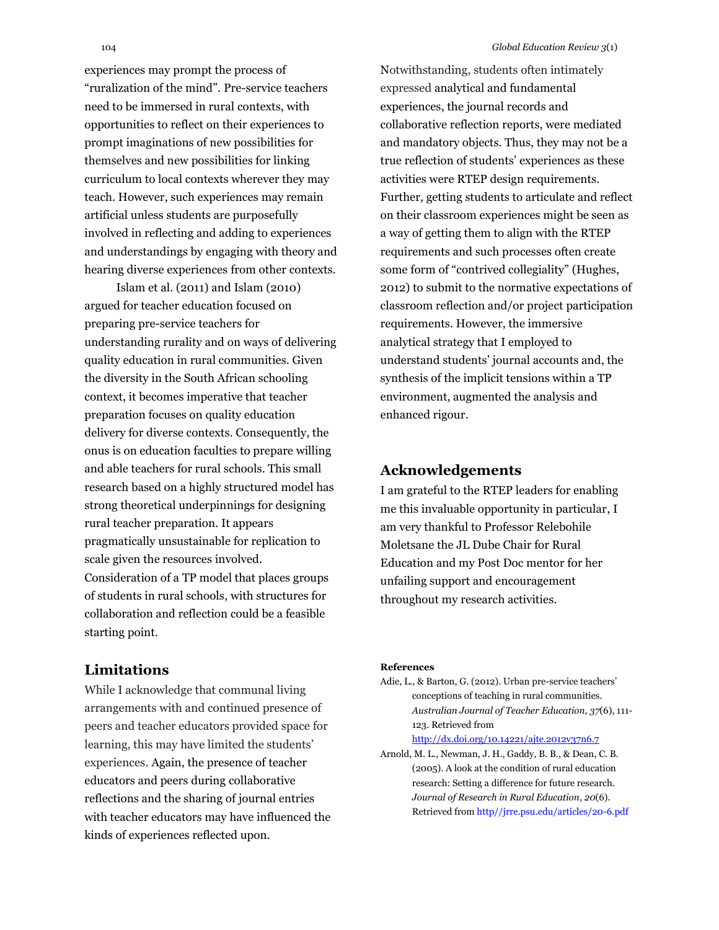experiences may prompt the process of "ruralization of the mind". Pre-service teachers need to be immersed in rural contexts, with opportunities to reflect on their experiences to prompt imaginations of new possibilities for themselves and new possibilities for linking curriculum to local contexts wherever they may teach. However, such experiences may remain artificial unless students are purposefully involved in reflecting and adding to experiences and understandings by engaging with theory and hearing diverse experiences from other contexts.

Islam et al. (2011) and Islam (2010) argued for teacher education focused on preparing pre-service teachers for understanding rurality and on ways of delivering quality education in rural communities. Given the diversity in the South African schooling context, it becomes imperative that teacher preparation focuses on quality education delivery for diverse contexts. Consequently, the onus is on education faculties to prepare willing and able teachers for rural schools. This small research based on a highly structured model has strong theoretical underpinnings for designing rural teacher preparation. It appears pragmatically unsustainable for replication to scale given the resources involved. Consideration of a TP model that places groups of students in rural schools, with structures for collaboration and reflection could be a feasible starting point.

#### **Limitations**

While I acknowledge that communal living arrangements with and continued presence of peers and teacher educators provided space for learning, this may have limited the students' experiences. Again, the presence of teacher educators and peers during collaborative reflections and the sharing of journal entries with teacher educators may have influenced the kinds of experiences reflected upon.

Notwithstanding, students often intimately expressed analytical and fundamental experiences, the journal records and collaborative reflection reports, were mediated and mandatory objects. Thus, they may not be a true reflection of students' experiences as these activities were RTEP design requirements. Further, getting students to articulate and reflect on their classroom experiences might be seen as a way of getting them to align with the RTEP requirements and such processes often create some form of "contrived collegiality" (Hughes, 2012) to submit to the normative expectations of classroom reflection and/or project participation requirements. However, the immersive analytical strategy that I employed to understand students' journal accounts and, the synthesis of the implicit tensions within a TP environment, augmented the analysis and enhanced rigour.

## **Acknowledgements**

I am grateful to the RTEP leaders for enabling me this invaluable opportunity in particular, I am very thankful to Professor Relebohile Moletsane the JL Dube Chair for Rural Education and my Post Doc mentor for her unfailing support and encouragement throughout my research activities.

#### **References**

- Adie, L., & Barton, G. (2012). Urban pre-service teachers' conceptions of teaching in rural communities. *Australian Journal of Teacher Education, 37*(6), 111- 123. Retrieved from <http://dx.doi.org/10.14221/ajte.2012v37n6.7>
- Arnold, M. L., Newman, J. H., Gaddy, B. B., & Dean, C. B. (2005). A look at the condition of rural education research: Setting a difference for future research. *Journal of Research in Rural Education*, *20*(6). Retrieved from http//jrre.psu.edu/articles/20-6.pdf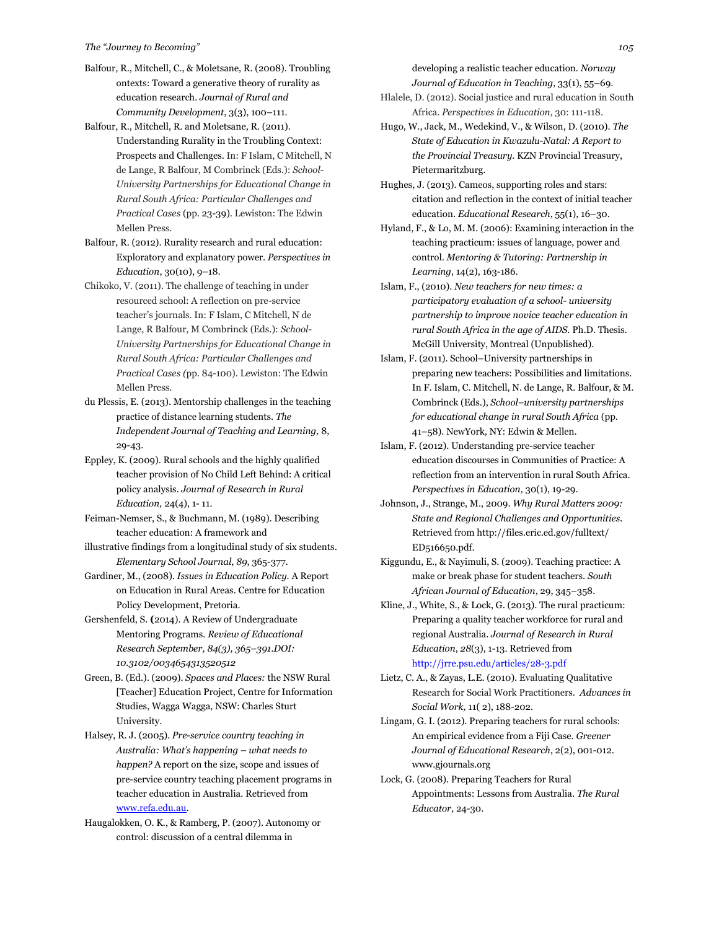- Balfour, R., Mitchell, C., & Moletsane, R. (2008). Troubling ontexts: Toward a generative theory of rurality as education research. *Journal of Rural and Community Development*, 3(3), 100–111.
- Balfour, R., Mitchell, R. and Moletsane, R. (2011). Understanding Rurality in the Troubling Context: Prospects and Challenges. In: F Islam, C Mitchell, N de Lange, R Balfour, M Combrinck (Eds.): *School-University Partnerships for Educational Change in Rural South Africa: Particular Challenges and Practical Cases* (pp. 23-39). Lewiston: The Edwin Mellen Press.
- Balfour, R. (2012). Rurality research and rural education: Exploratory and explanatory power. *Perspectives in Education*, 30(10), 9–18.
- Chikoko, V. (2011). The challenge of teaching in under resourced school: A reflection on pre-service teacher's journals. In: F Islam, C Mitchell, N de Lange, R Balfour, M Combrinck (Eds.): *School-University Partnerships for Educational Change in Rural South Africa: Particular Challenges and Practical Cases (*pp. 84-100). Lewiston: The Edwin Mellen Press.
- du Plessis, E. (2013). Mentorship challenges in the teaching practice of distance learning students. *The Independent Journal of Teaching and Learning,* 8, 29-43.
- Eppley, K. (2009). Rural schools and the highly qualified teacher provision of No Child Left Behind: A critical policy analysis. *Journal of Research in Rural Education,* 24(4), 1- 11.
- Feiman-Nemser, S., & Buchmann, M. (1989). Describing teacher education: A framework and
- illustrative findings from a longitudinal study of six students. *Elementary School Journal*, *89*, 365-377.
- Gardiner, M., (2008). *Issues in Education Policy.* A Report on Education in Rural Areas. Centre for Education Policy Development, Pretoria.
- Gershenfeld, S. **(**2014). A Review of Undergraduate Mentoring Programs. *Review of Educational Research September, 84(3), 365–391.DOI: 10.3102/0034654313520512*
- Green, B. (Ed.). (2009). *Spaces and Places:* the NSW Rural [Teacher] Education Project, Centre for Information Studies, Wagga Wagga, NSW: Charles Sturt University.
- Halsey, R. J. (2005). *Pre-service country teaching in Australia: What's happening – what needs to happen?* A report on the size, scope and issues of pre-service country teaching placement programs in teacher education in Australia. Retrieved from [www.refa.edu.au.](http://www.refa.edu.au/)
- Haugalokken, O. K., & Ramberg, P. (2007). Autonomy or control: discussion of a central dilemma in

developing a realistic teacher education. *Norway Journal of Education in Teaching,* 33(1), 55–69.

- Hlalele, D. (2012). Social justice and rural education in South Africa. *Perspectives in Education,* 30: 111-118.
- Hugo, W., Jack, M., Wedekind, V., & Wilson, D. (2010). *The State of Education in Kwazulu-Natal: A Report to the Provincial Treasury.* KZN Provincial Treasury, Pietermaritzburg.
- Hughes, J. (2013). Cameos, supporting roles and stars: citation and reflection in the context of initial teacher education. *Educational Research*, 55(1), 16–30.
- Hyland, F., & Lo, M. M. (2006): Examining interaction in the teaching practicum: issues of language, power and control. *Mentoring & Tutoring: Partnership in Learning*, 14(2), 163-186.
- Islam, F., (2010). *New teachers for new times: a participatory evaluation of a school- university partnership to improve novice teacher education in rural South Africa in the age of AIDS.* Ph.D. Thesis. McGill University, Montreal (Unpublished).
- Islam, F. (2011). School–University partnerships in preparing new teachers: Possibilities and limitations. In F. Islam, C. Mitchell, N. de Lange, R. Balfour, & M. Combrinck (Eds.), *School–university partnerships for educational change in rural South Africa* (pp. 41–58). NewYork, NY: Edwin & Mellen.
- Islam, F. (2012). Understanding pre-service teacher education discourses in Communities of Practice: A reflection from an intervention in rural South Africa. *Perspectives in Education,* 30(1), 19-29.
- Johnson, J., Strange, M., 2009. *Why Rural Matters 2009: State and Regional Challenges and Opportunities.* Retrieved from http://files.eric.ed.gov/fulltext/ ED516650.pdf.
- Kiggundu, E., & Nayimuli, S. (2009). Teaching practice: A make or break phase for student teachers. *South African Journal of Education*, 29, 345–358.
- Kline, J., White, S., & Lock, G. (2013). The rural practicum: Preparing a quality teacher workforce for rural and regional Australia. *Journal of Research in Rural Education*, *28*(3), 1-13. Retrieved from http://jrre.psu.edu/articles/28-3.pdf
- Lietz, C. A., & Zayas, L.E. (2010). Evaluating Qualitative Research for Social Work Practitioners. *Advances in Social Work,* 11( 2), 188-202.
- Lingam, G. I. (2012). Preparing teachers for rural schools: An empirical evidence from a Fiji Case. *Greener Journal of Educational Research*, 2(2), 001-012. www.gjournals.org
- Lock, G. (2008). Preparing Teachers for Rural Appointments: Lessons from Australia. *The Rural Educator,* 24-30.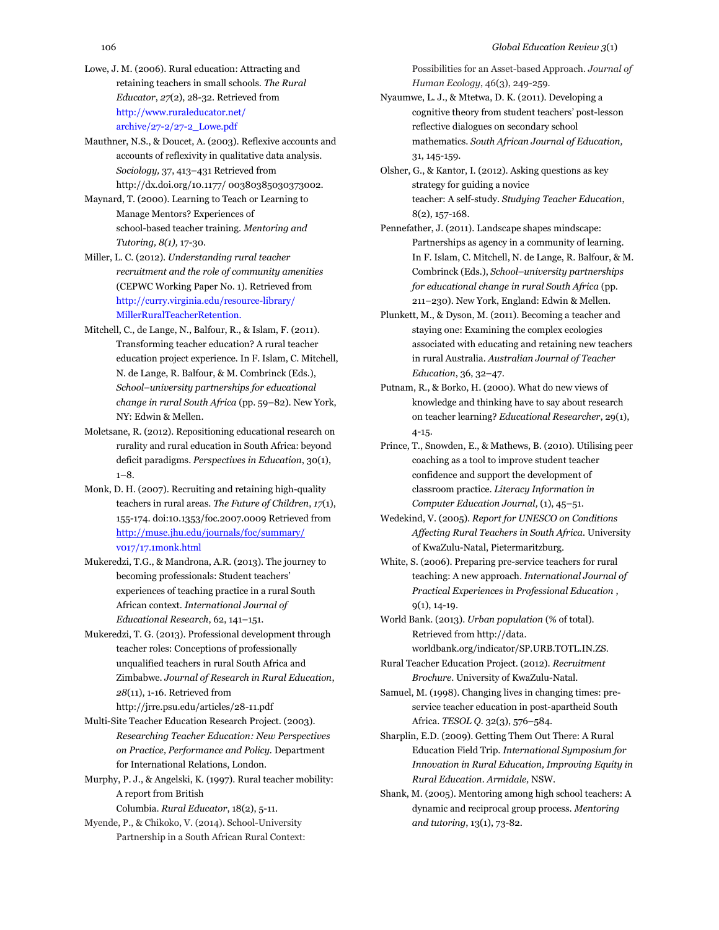- Lowe, J. M. (2006). Rural education: Attracting and retaining teachers in small schools. *The Rural Educator*, *27*(2), 28-32. Retrieved from http://www.ruraleducator.net/ archive/27-2/27-2\_Lowe.pdf
- Mauthner, N.S., & Doucet, A. (2003). Reflexive accounts and accounts of reflexivity in qualitative data analysis. *Sociology,* 37, 413–431 Retrieved from http://dx.doi.org/10.1177/ 00380385030373002.
- Maynard, T. (2000)*.* Learning to Teach or Learning to Manage Mentors? Experiences of school-based teacher training. *Mentoring and Tutoring, 8(1),* 17-30.
- Miller, L. C. (2012). *Understanding rural teacher recruitment and the role of community amenities* (CEPWC Working Paper No. 1)*.* Retrieved from http://curry.virginia.edu/resource-library/ MillerRuralTeacherRetention.
- Mitchell, C., de Lange, N., Balfour, R., & Islam, F. (2011). Transforming teacher education? A rural teacher education project experience. In F. Islam, C. Mitchell, N. de Lange, R. Balfour, & M. Combrinck (Eds.), *School–university partnerships for educational change in rural South Africa* (pp. 59–82). New York, NY: Edwin & Mellen.
- Moletsane, R. (2012). Repositioning educational research on rurality and rural education in South Africa: beyond deficit paradigms. *Perspectives in Education*, 30(1),  $1 - 8$ .
- Monk, D. H. (2007). Recruiting and retaining high-quality teachers in rural areas. *The Future of Children*, *17*(1), 155-174. doi:10.1353/foc.2007.0009 Retrieved from <http://muse.jhu.edu/journals/foc/summary/> v017/17.1monk.html
- Mukeredzi, T.G., & Mandrona, A.R. (2013). The journey to becoming professionals: Student teachers' experiences of teaching practice in a rural South African context. *International Journal of Educational Research*, 62, 141–151.
- Mukeredzi, T. G. (2013). Professional development through teacher roles: Conceptions of professionally unqualified teachers in rural South Africa and Zimbabwe. *Journal of Research in Rural Education*, *28*(11), 1-16. Retrieved from http://jrre.psu.edu/articles/28-11.pdf
- Multi-Site Teacher Education Research Project. (2003). *Researching Teacher Education: New Perspectives on Practice, Performance and Policy.* Department for International Relations, London.
- Murphy, P. J., & Angelski, K. (1997). Rural teacher mobility: A report from British

Columbia. *Rural Educator*, 18(2), 5-11.

Myende, P., & Chikoko, V. (2014). School-University Partnership in a South African Rural Context: Possibilities for an Asset-based Approach. *Journal of Human Ecology*, 46(3), 249-259.

- Nyaumwe, L. J., & Mtetwa, D. K. (2011). Developing a cognitive theory from student teachers' post-lesson reflective dialogues on secondary school mathematics. *South African Journal of Education,*  31, 145-159.
- Olsher, G., & Kantor, I. (2012). Asking questions as key strategy for guiding a novice teacher: A self-study. *Studying Teacher Education*, 8(2), 157-168.
- Pennefather, J. (2011). Landscape shapes mindscape: Partnerships as agency in a community of learning. In F. Islam, C. Mitchell, N. de Lange, R. Balfour, & M. Combrinck (Eds.), *School–university partnerships for educational change in rural South Africa* (pp. 211–230). New York, England: Edwin & Mellen.
- Plunkett, M., & Dyson, M. (2011). Becoming a teacher and staying one: Examining the complex ecologies associated with educating and retaining new teachers in rural Australia. *Australian Journal of Teacher Education*, 36, 32–47.
- Putnam, R., & Borko, H. (2000). What do new views of knowledge and thinking have to say about research on teacher learning? *Educational Researcher*, 29(1), 4-15.
- Prince, T., Snowden, E., & Mathews, B. (2010). Utilising peer coaching as a tool to improve student teacher confidence and support the development of classroom practice. *Literacy Information in Computer Education Journal,* (1), 45–51.
- Wedekind, V. (2005). *Report for UNESCO on Conditions Affecting Rural Teachers in South Africa.* University of KwaZulu-Natal, Pietermaritzburg.
- White, S. (2006). Preparing pre-service teachers for rural teaching: A new approach. *International Journal of Practical Experiences in Professional Education* , 9(1), 14-19.
- World Bank. (2013). *Urban population* (% of total). Retrieved from http://data. worldbank.org/indicator/SP.URB.TOTL.IN.ZS.
- Rural Teacher Education Project. (2012). *Recruitment Brochure*. University of KwaZulu-Natal.
- Samuel, M. (1998). Changing lives in changing times: preservice teacher education in post-apartheid South Africa. *TESOL Q.* 32(3), 576–584.
- Sharplin, E.D. (2009). Getting Them Out There: A Rural Education Field Trip. *International Symposium for Innovation in Rural Education, Improving Equity in Rural Education. Armidale,* NSW.
- Shank, M. (2005). Mentoring among high school teachers: A dynamic and reciprocal group process. *Mentoring and tutoring*, 13(1), 73-82.